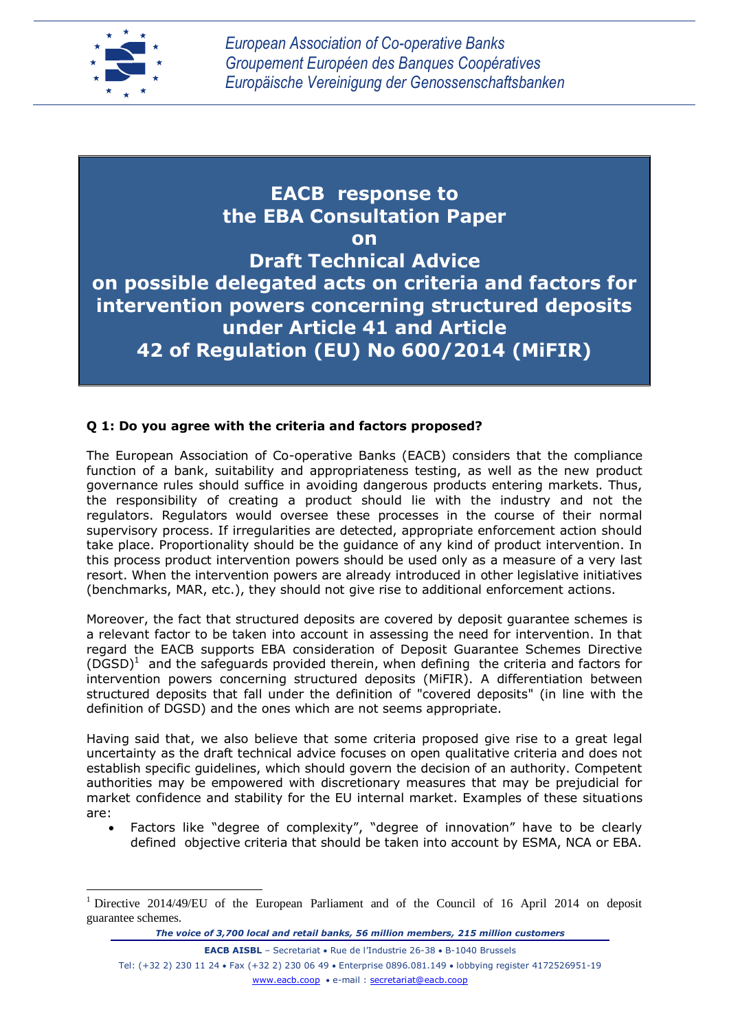

 $\overline{a}$ 

**EACB response to the EBA Consultation Paper on Draft Technical Advice on possible delegated acts on criteria and factors for intervention powers concerning structured deposits under Article 41 and Article 42 of Regulation (EU) No 600/2014 (MiFIR)**

## **Q 1: Do you agree with the criteria and factors proposed?**

The European Association of Co-operative Banks (EACB) considers that the compliance function of a bank, suitability and appropriateness testing, as well as the new product governance rules should suffice in avoiding dangerous products entering markets. Thus, the responsibility of creating a product should lie with the industry and not the regulators. Regulators would oversee these processes in the course of their normal supervisory process. If irregularities are detected, appropriate enforcement action should take place. Proportionality should be the guidance of any kind of product intervention. In this process product intervention powers should be used only as a measure of a very last resort. When the intervention powers are already introduced in other legislative initiatives (benchmarks, MAR, etc.), they should not give rise to additional enforcement actions.

Moreover, the fact that structured deposits are covered by deposit guarantee schemes is a relevant factor to be taken into account in assessing the need for intervention. In that regard the EACB supports EBA consideration of Deposit Guarantee Schemes Directive  $(DGSD)^1$  and the safeguards provided therein, when defining the criteria and factors for intervention powers concerning structured deposits (MiFIR). A differentiation between structured deposits that fall under the definition of "covered deposits" (in line with the definition of DGSD) and the ones which are not seems appropriate.

Having said that, we also believe that some criteria proposed give rise to a great legal uncertainty as the draft technical advice focuses on open qualitative criteria and does not establish specific guidelines, which should govern the decision of an authority. Competent authorities may be empowered with discretionary measures that may be prejudicial for market confidence and stability for the EU internal market. Examples of these situations are:

 Factors like "degree of complexity", "degree of innovation" have to be clearly defined objective criteria that should be taken into account by ESMA, NCA or EBA.

*The voice of 3,700 local and retail banks, 56 million members, 215 million customers*

**EACB AISBL** – Secretariat • Rue de l'Industrie 26-38 • B-1040 Brussels Tel: (+32 2) 230 11 24 Fax (+32 2) 230 06 49 Enterprise 0896.081.149 lobbying register 4172526951-19 [www.eacb.coop](http://www.eacb.coop/) e-mail : [secretariat@eacb.coop](mailto:secretariat@eacb.coop)

<sup>1</sup> Directive 2014/49/EU of the European Parliament and of the Council of 16 April 2014 on deposit guarantee schemes.